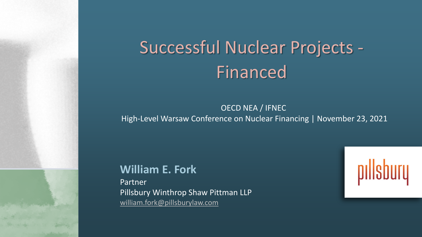# Successful Nuclear Projects - Financed

#### OECD NEA / IFNEC High-Level Warsaw Conference on Nuclear Financing | November 23, 2021

**William E. Fork** Partner Pillsbury Winthrop Shaw Pittman LLP [william.fork@pillsburylaw.com](mailto:william.fork@pillsburylaw.com)

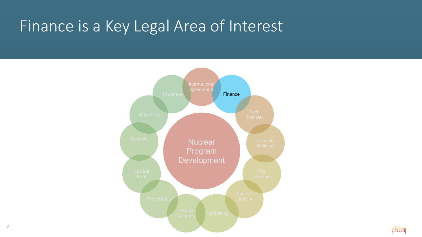# Finance is a Key Legal Area of Interest

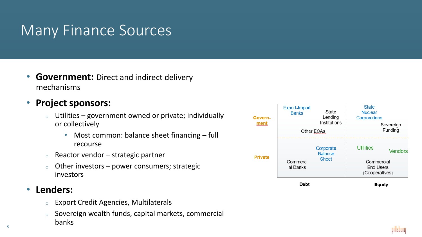#### Many Finance Sources

- **Government:** Direct and indirect delivery mechanisms
- **Project sponsors:**
	- Utilities government owned or private; individually or collectively
		- Most common: balance sheet financing full recourse
	- $\circ$  Reactor vendor strategic partner
	- $\circ$  Other investors power consumers; strategic investors
- **Lenders:**

3

- <sup>o</sup> Export Credit Agencies, Multilaterals
- <sup>o</sup> Sovereign wealth funds, capital markets, commercial banks

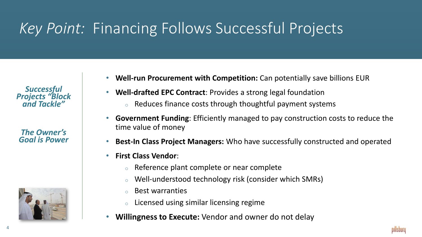## *Key Point:* Financing Follows Successful Projects

*Successful Projects "Block and Tackle"*

*The Owner's Goal is Power*



- **Well-run Procurement with Competition:** Can potentially save billions EUR
- **Well-drafted EPC Contract**: Provides a strong legal foundation
	- <sup>o</sup> Reduces finance costs through thoughtful payment systems
- **Government Funding**: Efficiently managed to pay construction costs to reduce the time value of money
- **Best-In Class Project Managers:** Who have successfully constructed and operated
- **First Class Vendor**:
	- <sup>o</sup> Reference plant complete or near complete
	- <sup>o</sup> Well-understood technology risk (consider which SMRs)
	- **Best warranties**
	- <sup>o</sup> Licensed using similar licensing regime
- **Willingness to Execute:** Vendor and owner do not delay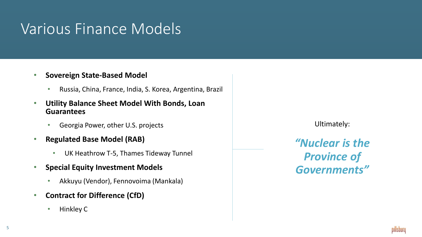### Various Finance Models

#### • **Sovereign State-Based Model**

- Russia, China, France, India, S. Korea, Argentina, Brazil
- **Utility Balance Sheet Model With Bonds, Loan Guarantees**
	- Georgia Power, other U.S. projects
- **Regulated Base Model (RAB)**
	- UK Heathrow T-5, Thames Tideway Tunnel
- **Special Equity Investment Models**
	- Akkuyu (Vendor), Fennovoima (Mankala)
- **Contract for Difference (CfD)**
	- Hinkley C

Ultimately:

*"Nuclear is the Province of Governments"*